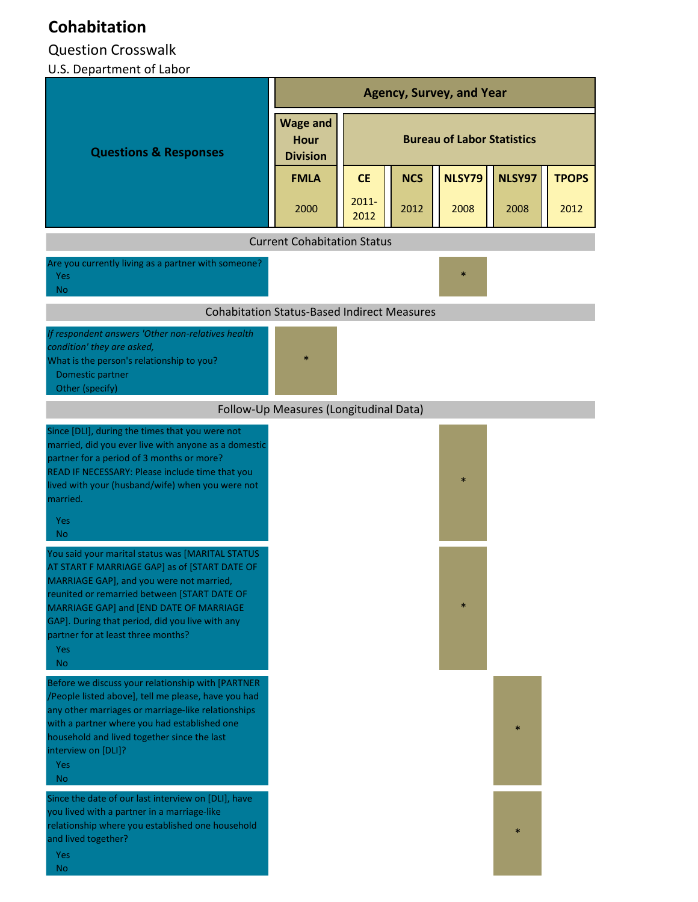## **Cohabitation**

## Question Crosswalk

## U.S. Department of Labor

|                                                                                                                                                                                                                                                                                                                                                                                                                                                                                                                                                                                                                                                                  | <b>Agency, Survey, and Year</b>                    |                                   |            |               |        |              |  |
|------------------------------------------------------------------------------------------------------------------------------------------------------------------------------------------------------------------------------------------------------------------------------------------------------------------------------------------------------------------------------------------------------------------------------------------------------------------------------------------------------------------------------------------------------------------------------------------------------------------------------------------------------------------|----------------------------------------------------|-----------------------------------|------------|---------------|--------|--------------|--|
| <b>Questions &amp; Responses</b>                                                                                                                                                                                                                                                                                                                                                                                                                                                                                                                                                                                                                                 | <b>Wage and</b><br><b>Hour</b><br><b>Division</b>  | <b>Bureau of Labor Statistics</b> |            |               |        |              |  |
|                                                                                                                                                                                                                                                                                                                                                                                                                                                                                                                                                                                                                                                                  | <b>FMLA</b>                                        | <b>CE</b>                         | <b>NCS</b> | <b>NLSY79</b> | NLSY97 | <b>TPOPS</b> |  |
|                                                                                                                                                                                                                                                                                                                                                                                                                                                                                                                                                                                                                                                                  | 2000                                               | $2011 -$<br>2012                  | 2012       | 2008          | 2008   | 2012         |  |
|                                                                                                                                                                                                                                                                                                                                                                                                                                                                                                                                                                                                                                                                  | <b>Current Cohabitation Status</b>                 |                                   |            |               |        |              |  |
| Are you currently living as a partner with someone?<br><b>Yes</b><br><b>No</b>                                                                                                                                                                                                                                                                                                                                                                                                                                                                                                                                                                                   |                                                    |                                   |            |               |        |              |  |
|                                                                                                                                                                                                                                                                                                                                                                                                                                                                                                                                                                                                                                                                  | <b>Cohabitation Status-Based Indirect Measures</b> |                                   |            |               |        |              |  |
| If respondent answers 'Other non-relatives health<br>condition' they are asked,<br>What is the person's relationship to you?<br>Domestic partner<br>Other (specify)                                                                                                                                                                                                                                                                                                                                                                                                                                                                                              |                                                    |                                   |            |               |        |              |  |
|                                                                                                                                                                                                                                                                                                                                                                                                                                                                                                                                                                                                                                                                  | Follow-Up Measures (Longitudinal Data)             |                                   |            |               |        |              |  |
| Since [DLI], during the times that you were not<br>married, did you ever live with anyone as a domestic<br>partner for a period of 3 months or more?<br>READ IF NECESSARY: Please include time that you<br>lived with your (husband/wife) when you were not<br>married.<br><b>Yes</b><br>N <sub>o</sub><br>You said your marital status was [MARITAL STATUS<br>AT START F MARRIAGE GAP] as of [START DATE OF<br>MARRIAGE GAP], and you were not married,<br>reunited or remarried between [START DATE OF<br>MARRIAGE GAP] and [END DATE OF MARRIAGE<br>GAP]. During that period, did you live with any<br>partner for at least three months?<br>Yes<br><b>No</b> |                                                    |                                   |            | $\ast$        |        |              |  |
| Before we discuss your relationship with [PARTNER<br>/People listed above], tell me please, have you had<br>any other marriages or marriage-like relationships<br>with a partner where you had established one<br>household and lived together since the last<br>interview on [DLI]?<br>Yes<br><b>No</b><br>Since the date of our last interview on [DLI], have<br>you lived with a partner in a marriage-like<br>relationship where you established one household<br>and lived together?                                                                                                                                                                        |                                                    |                                   |            |               |        |              |  |
| Yes<br>No                                                                                                                                                                                                                                                                                                                                                                                                                                                                                                                                                                                                                                                        |                                                    |                                   |            |               |        |              |  |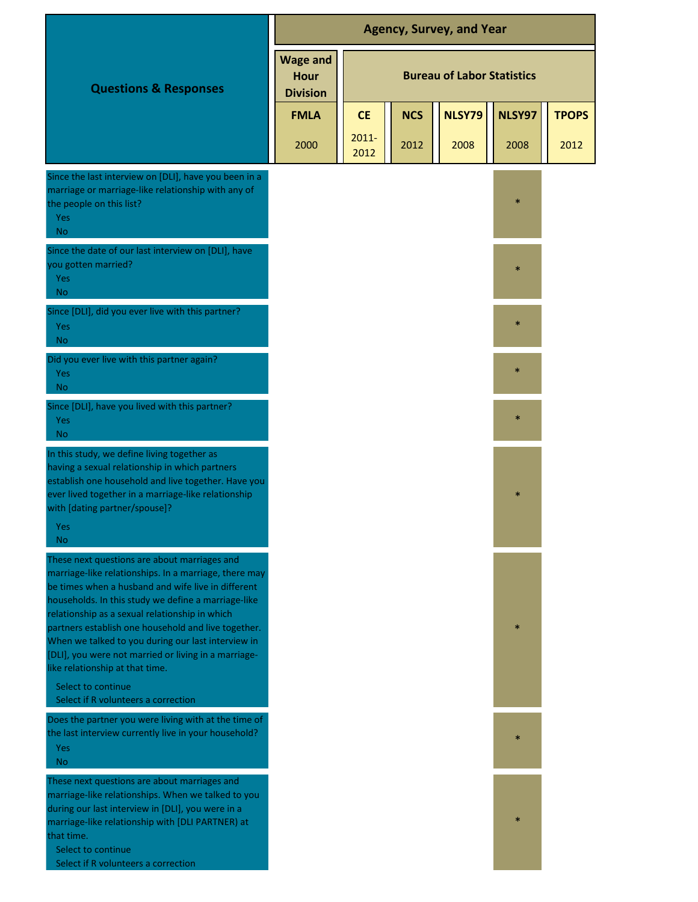|                                                                                                                                                                                                                                                                                                                                                                                                                                                                                    | <b>Agency, Survey, and Year</b>            |                                   |            |               |        |              |
|------------------------------------------------------------------------------------------------------------------------------------------------------------------------------------------------------------------------------------------------------------------------------------------------------------------------------------------------------------------------------------------------------------------------------------------------------------------------------------|--------------------------------------------|-----------------------------------|------------|---------------|--------|--------------|
| <b>Questions &amp; Responses</b>                                                                                                                                                                                                                                                                                                                                                                                                                                                   | <b>Wage and</b><br>Hour<br><b>Division</b> | <b>Bureau of Labor Statistics</b> |            |               |        |              |
|                                                                                                                                                                                                                                                                                                                                                                                                                                                                                    | <b>FMLA</b>                                | <b>CE</b>                         | <b>NCS</b> | <b>NLSY79</b> | NLSY97 | <b>TPOPS</b> |
|                                                                                                                                                                                                                                                                                                                                                                                                                                                                                    | 2000                                       | $2011 -$<br>2012                  | 2012       | 2008          | 2008   | 2012         |
| Since the last interview on [DLI], have you been in a<br>marriage or marriage-like relationship with any of<br>the people on this list?<br>Yes<br><b>No</b>                                                                                                                                                                                                                                                                                                                        |                                            |                                   |            |               | $\ast$ |              |
| Since the date of our last interview on [DLI], have<br>you gotten married?<br>Yes<br><b>No</b>                                                                                                                                                                                                                                                                                                                                                                                     |                                            |                                   |            |               | $\ast$ |              |
| Since [DLI], did you ever live with this partner?<br>Yes<br><b>No</b>                                                                                                                                                                                                                                                                                                                                                                                                              |                                            |                                   |            |               | $\ast$ |              |
| Did you ever live with this partner again?<br>Yes<br>N <sub>o</sub>                                                                                                                                                                                                                                                                                                                                                                                                                |                                            |                                   |            |               | $\ast$ |              |
| Since [DLI], have you lived with this partner?<br>Yes<br><b>No</b>                                                                                                                                                                                                                                                                                                                                                                                                                 |                                            |                                   |            |               | $\ast$ |              |
| In this study, we define living together as<br>having a sexual relationship in which partners<br>establish one household and live together. Have you<br>ever lived together in a marriage-like relationship<br>with [dating partner/spouse]?<br>Yes                                                                                                                                                                                                                                |                                            |                                   |            |               | $\ast$ |              |
| No<br>These next questions are about marriages and<br>marriage-like relationships. In a marriage, there may<br>be times when a husband and wife live in different<br>households. In this study we define a marriage-like<br>relationship as a sexual relationship in which<br>partners establish one household and live together.<br>When we talked to you during our last interview in<br>[DLI], you were not married or living in a marriage-<br>like relationship at that time. |                                            |                                   |            |               | $\ast$ |              |
| Select to continue<br>Select if R volunteers a correction                                                                                                                                                                                                                                                                                                                                                                                                                          |                                            |                                   |            |               |        |              |
| Does the partner you were living with at the time of<br>the last interview currently live in your household?<br><b>Yes</b><br><b>No</b>                                                                                                                                                                                                                                                                                                                                            |                                            |                                   |            |               | $\ast$ |              |
| These next questions are about marriages and<br>marriage-like relationships. When we talked to you<br>during our last interview in [DLI], you were in a<br>marriage-like relationship with [DLI PARTNER) at<br>that time.<br>Select to continue<br>Select if R volunteers a correction                                                                                                                                                                                             |                                            |                                   |            |               | $\ast$ |              |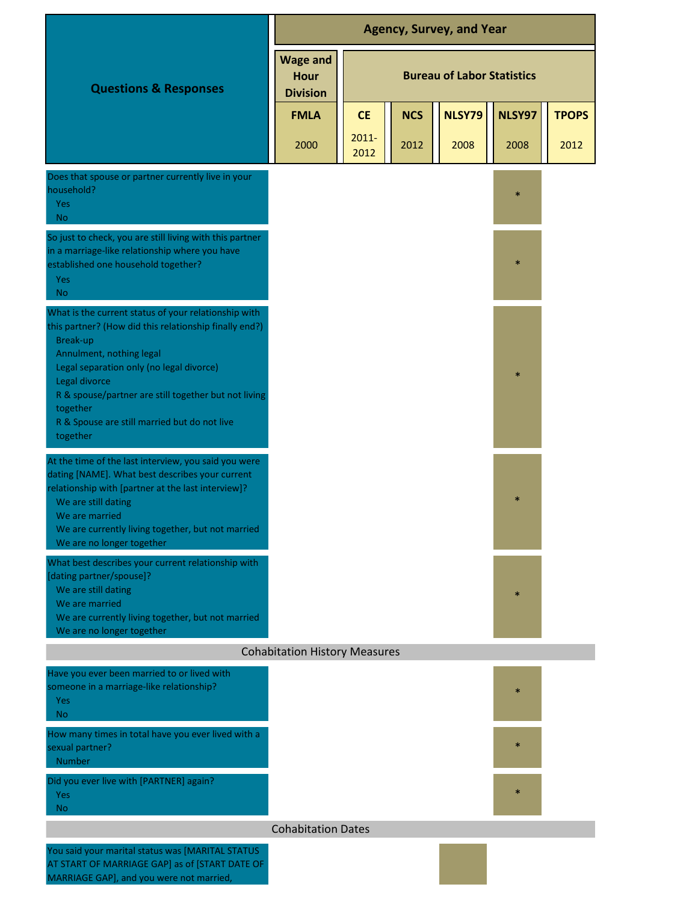|                                                                                                                                                                                                                                                                                                                                                     | <b>Agency, Survey, and Year</b>                   |                                   |            |        |        |              |  |
|-----------------------------------------------------------------------------------------------------------------------------------------------------------------------------------------------------------------------------------------------------------------------------------------------------------------------------------------------------|---------------------------------------------------|-----------------------------------|------------|--------|--------|--------------|--|
| <b>Questions &amp; Responses</b>                                                                                                                                                                                                                                                                                                                    | <b>Wage and</b><br><b>Hour</b><br><b>Division</b> | <b>Bureau of Labor Statistics</b> |            |        |        |              |  |
|                                                                                                                                                                                                                                                                                                                                                     | <b>FMLA</b>                                       | <b>CE</b>                         | <b>NCS</b> | NLSY79 | NLSY97 | <b>TPOPS</b> |  |
|                                                                                                                                                                                                                                                                                                                                                     | 2000                                              | $2011 -$<br>2012                  | 2012       | 2008   | 2008   | 2012         |  |
| Does that spouse or partner currently live in your<br>household?<br>Yes<br><b>No</b>                                                                                                                                                                                                                                                                |                                                   |                                   |            |        | $\ast$ |              |  |
| So just to check, you are still living with this partner<br>in a marriage-like relationship where you have<br>established one household together?<br>Yes<br><b>No</b>                                                                                                                                                                               |                                                   |                                   |            |        | $\ast$ |              |  |
| What is the current status of your relationship with<br>this partner? (How did this relationship finally end?)<br>Break-up<br>Annulment, nothing legal<br>Legal separation only (no legal divorce)<br>Legal divorce<br>R & spouse/partner are still together but not living<br>together<br>R & Spouse are still married but do not live<br>together |                                                   |                                   |            |        | $\ast$ |              |  |
| At the time of the last interview, you said you were<br>dating [NAME]. What best describes your current<br>relationship with [partner at the last interview]?<br>We are still dating<br>We are married<br>We are currently living together, but not married<br>We are no longer together                                                            |                                                   |                                   |            |        | $\ast$ |              |  |
| What best describes your current relationship with<br>[dating partner/spouse]?<br>We are still dating<br>We are married<br>We are currently living together, but not married<br>We are no longer together                                                                                                                                           |                                                   |                                   |            |        | $\ast$ |              |  |
|                                                                                                                                                                                                                                                                                                                                                     | <b>Cohabitation History Measures</b>              |                                   |            |        |        |              |  |
| Have you ever been married to or lived with<br>someone in a marriage-like relationship?<br>Yes<br>N <sub>o</sub>                                                                                                                                                                                                                                    |                                                   |                                   |            |        | $\ast$ |              |  |
| How many times in total have you ever lived with a<br>sexual partner?<br>Number                                                                                                                                                                                                                                                                     |                                                   |                                   |            |        | $\ast$ |              |  |
| Did you ever live with [PARTNER] again?<br>Yes<br>No.                                                                                                                                                                                                                                                                                               |                                                   |                                   |            |        | $\ast$ |              |  |
|                                                                                                                                                                                                                                                                                                                                                     | <b>Cohabitation Dates</b>                         |                                   |            |        |        |              |  |
| You said your marital status was [MARITAL STATUS]<br>AT START OF MARRIAGE GAP] as of [START DATE OF<br>MARRIAGE GAP], and you were not married,                                                                                                                                                                                                     |                                                   |                                   |            |        |        |              |  |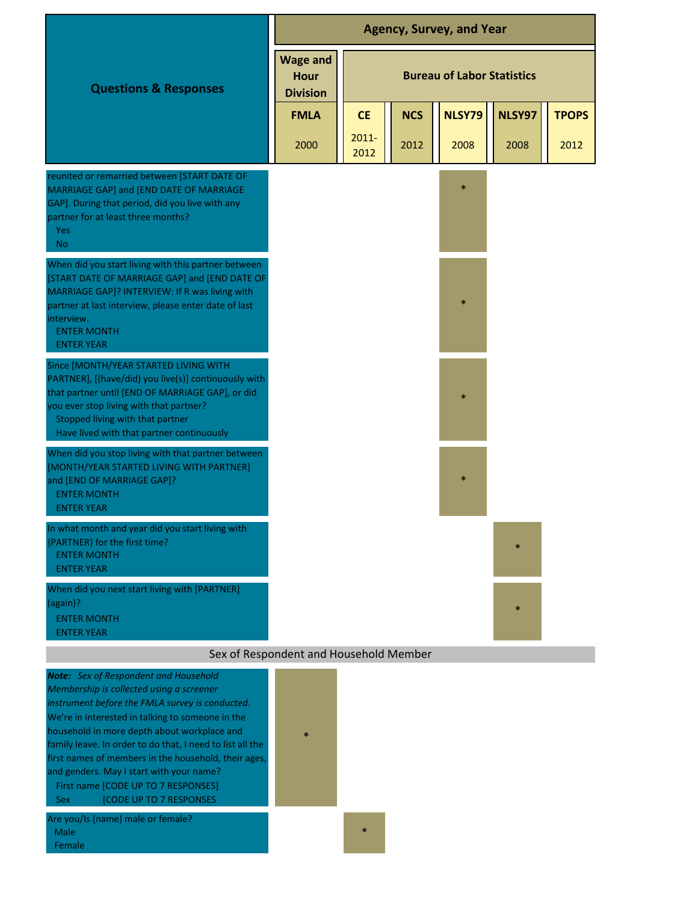|                                                                                                                                                                                                                                                                               | <b>Agency, Survey, and Year</b>                   |                                   |                    |                       |                |                      |
|-------------------------------------------------------------------------------------------------------------------------------------------------------------------------------------------------------------------------------------------------------------------------------|---------------------------------------------------|-----------------------------------|--------------------|-----------------------|----------------|----------------------|
| <b>Questions &amp; Responses</b>                                                                                                                                                                                                                                              | <b>Wage and</b><br><b>Hour</b><br><b>Division</b> | <b>Bureau of Labor Statistics</b> |                    |                       |                |                      |
|                                                                                                                                                                                                                                                                               | <b>FMLA</b><br>2000                               | <b>CE</b><br>$2011 -$             | <b>NCS</b><br>2012 | <b>NLSY79</b><br>2008 | NLSY97<br>2008 | <b>TPOPS</b><br>2012 |
| reunited or remarried between [START DATE OF<br>MARRIAGE GAP] and [END DATE OF MARRIAGE<br>GAP]. During that period, did you live with any<br>partner for at least three months?<br>Yes<br>N <sub>o</sub>                                                                     |                                                   | 2012                              |                    | $\ast$                |                |                      |
| When did you start living with this partner between<br>[START DATE OF MARRIAGE GAP] and [END DATE OF<br>MARRIAGE GAP]? INTERVIEW: If R was living with<br>partner at last interview, please enter date of last<br>interview.<br><b>ENTER MONTH</b><br><b>ENTER YEAR</b>       |                                                   |                                   |                    | $\ast$                |                |                      |
| Since [MONTH/YEAR STARTED LIVING WITH<br>PARTNER], [(have/did) you live(s)] continuously with<br>that partner until [END OF MARRIAGE GAP], or did<br>you ever stop living with that partner?<br>Stopped living with that partner<br>Have lived with that partner continuously |                                                   |                                   |                    | $\ast$                |                |                      |
| When did you stop living with that partner between<br>[MONTH/YEAR STARTED LIVING WITH PARTNER]<br>and [END OF MARRIAGE GAP]?<br><b>ENTER MONTH</b><br><b>ENTER YEAR</b>                                                                                                       |                                                   |                                   |                    | $\ast$                |                |                      |
| In what month and year did you start living with<br>{PARTNER} for the first time?<br><b>ENTER MONTH</b><br><b>ENTER YEAR</b>                                                                                                                                                  |                                                   |                                   |                    |                       | $\ast$         |                      |
| When did you next start living with [PARTNER]<br>(again)?<br><b>ENTER MONTH</b><br><b>ENTER YEAR</b>                                                                                                                                                                          |                                                   |                                   |                    |                       | $\ast$         |                      |
|                                                                                                                                                                                                                                                                               | Sex of Respondent and Household Member            |                                   |                    |                       |                |                      |

| <b>Note:</b> Sex of Respondent and Household<br>Membership is collected using a screener<br>instrument before the FMLA survey is conducted.<br>We're in interested in talking to someone in the<br>household in more depth about workplace and<br>family leave. In order to do that, I need to list all the<br>first names of members in the household, their ages,<br>and genders. May I start with your name?<br>First name [CODE UP TO 7 RESPONSES]<br><b>[CODE UP TO 7 RESPONSES</b><br><b>Sex</b> | $\star$ |        |
|--------------------------------------------------------------------------------------------------------------------------------------------------------------------------------------------------------------------------------------------------------------------------------------------------------------------------------------------------------------------------------------------------------------------------------------------------------------------------------------------------------|---------|--------|
| Are you/Is (name) male or female?<br>Male<br>Female                                                                                                                                                                                                                                                                                                                                                                                                                                                    |         | $\ast$ |